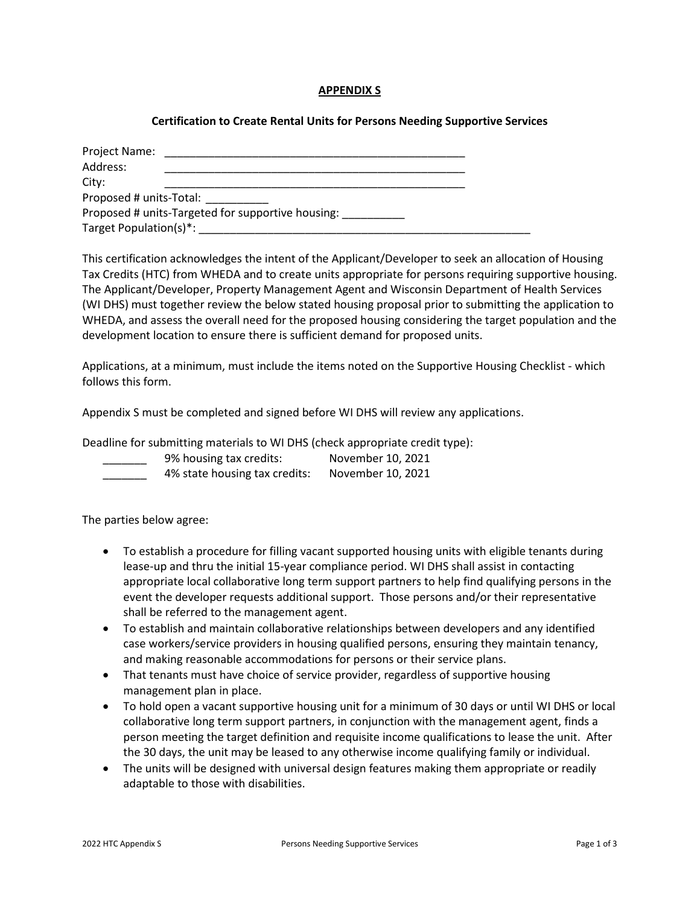### **APPENDIX S**

## **Certification to Create Rental Units for Persons Needing Supportive Services**

| Project Name:<br>Address: |                                                   |  |
|---------------------------|---------------------------------------------------|--|
| City:                     |                                                   |  |
| Proposed # units-Total:   |                                                   |  |
|                           | Proposed # units-Targeted for supportive housing: |  |
| Target Population(s)*:    |                                                   |  |

This certification acknowledges the intent of the Applicant/Developer to seek an allocation of Housing Tax Credits (HTC) from WHEDA and to create units appropriate for persons requiring supportive housing. The Applicant/Developer, Property Management Agent and Wisconsin Department of Health Services (WI DHS) must together review the below stated housing proposal prior to submitting the application to WHEDA, and assess the overall need for the proposed housing considering the target population and the development location to ensure there is sufficient demand for proposed units.

Applications, at a minimum, must include the items noted on the Supportive Housing Checklist - which follows this form.

Appendix S must be completed and signed before WI DHS will review any applications.

Deadline for submitting materials to WI DHS (check appropriate credit type):

- \_\_\_\_\_\_\_ 9% housing tax credits: November 10, 2021
- \_\_\_\_\_\_\_ 4% state housing tax credits: November 10, 2021

The parties below agree:

- To establish a procedure for filling vacant supported housing units with eligible tenants during lease-up and thru the initial 15-year compliance period. WI DHS shall assist in contacting appropriate local collaborative long term support partners to help find qualifying persons in the event the developer requests additional support. Those persons and/or their representative shall be referred to the management agent.
- To establish and maintain collaborative relationships between developers and any identified case workers/service providers in housing qualified persons, ensuring they maintain tenancy, and making reasonable accommodations for persons or their service plans.
- That tenants must have choice of service provider, regardless of supportive housing management plan in place.
- To hold open a vacant supportive housing unit for a minimum of 30 days or until WI DHS or local collaborative long term support partners, in conjunction with the management agent, finds a person meeting the target definition and requisite income qualifications to lease the unit. After the 30 days, the unit may be leased to any otherwise income qualifying family or individual.
- The units will be designed with universal design features making them appropriate or readily adaptable to those with disabilities.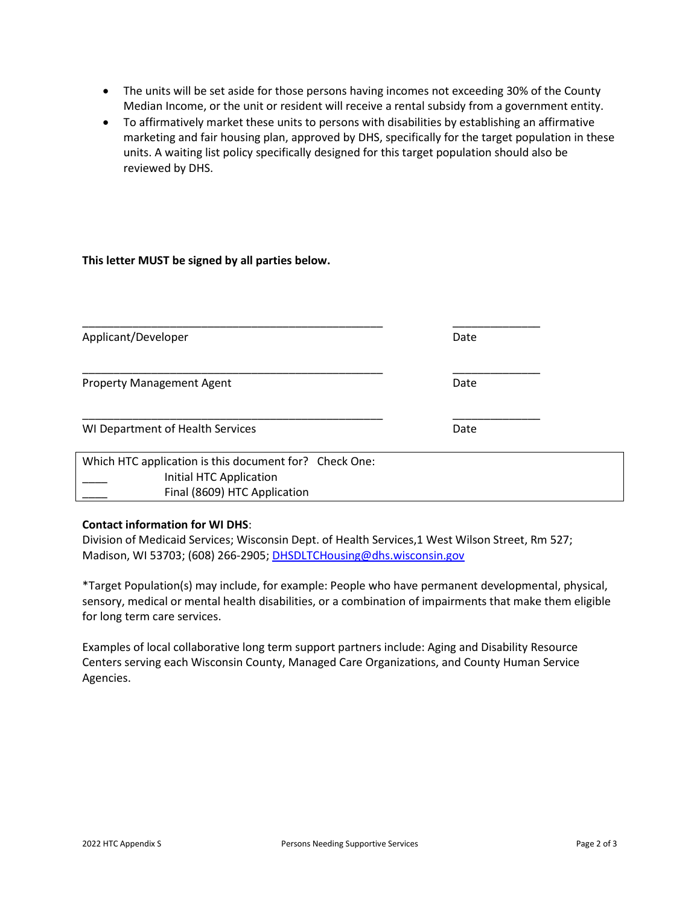- The units will be set aside for those persons having incomes not exceeding 30% of the County Median Income, or the unit or resident will receive a rental subsidy from a government entity.
- To affirmatively market these units to persons with disabilities by establishing an affirmative marketing and fair housing plan, approved by DHS, specifically for the target population in these units. A waiting list policy specifically designed for this target population should also be reviewed by DHS.

### **This letter MUST be signed by all parties below.**

| Applicant/Developer                                                                                               | Date |
|-------------------------------------------------------------------------------------------------------------------|------|
| <b>Property Management Agent</b>                                                                                  | Date |
| WI Department of Health Services                                                                                  | Date |
| Which HTC application is this document for? Check One:<br>Initial HTC Application<br>Final (8609) HTC Application |      |

### **Contact information for WI DHS**:

Division of Medicaid Services; Wisconsin Dept. of Health Services,1 West Wilson Street, Rm 527; Madison, WI 53703; (608) 266-2905; [DHSDLTCHousing@dhs.wisconsin.gov](mailto:DHSDLTCHousing@dhs.wisconsin.gov)

\*Target Population(s) may include, for example: People who have permanent developmental, physical, sensory, medical or mental health disabilities, or a combination of impairments that make them eligible for long term care services.

Examples of local collaborative long term support partners include: Aging and Disability Resource Centers serving each Wisconsin County, Managed Care Organizations, and County Human Service Agencies.